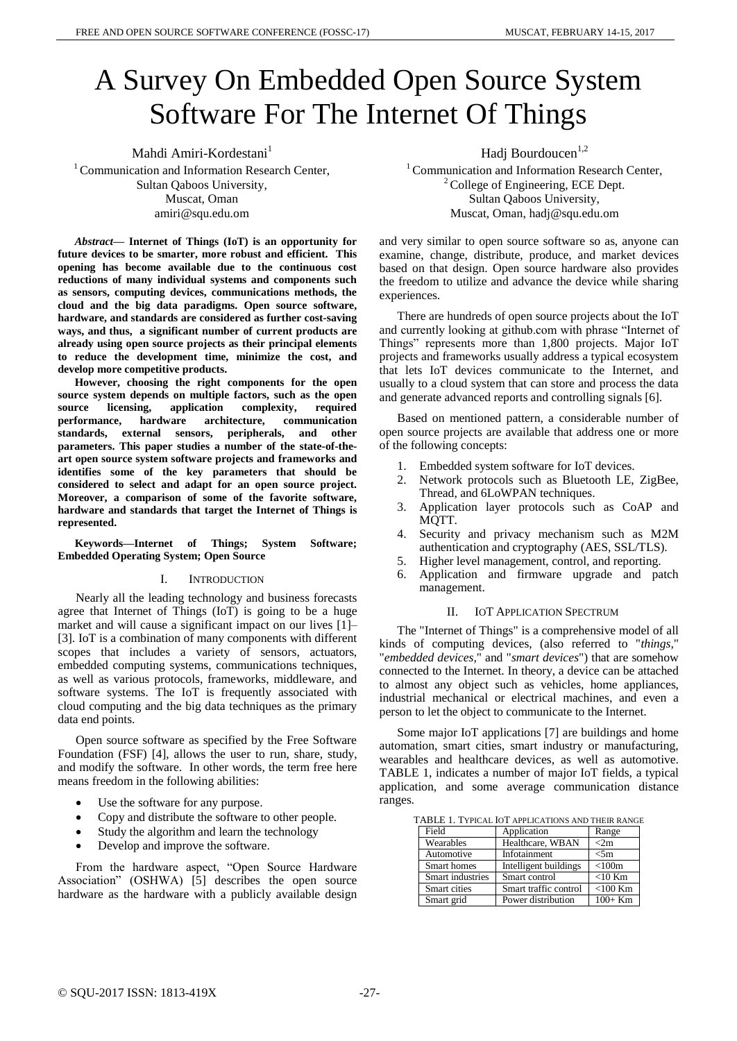# A Survey On Embedded Open Source System Software For The Internet Of Things

Mahdi Amiri-Kordestani<sup>1</sup> <sup>1</sup> Communication and Information Research Center, Sultan Qaboos University, Muscat, Oman amiri@squ.edu.om

*Abstract***— Internet of Things (IoT) is an opportunity for future devices to be smarter, more robust and efficient. This opening has become available due to the continuous cost reductions of many individual systems and components such as sensors, computing devices, communications methods, the cloud and the big data paradigms. Open source software, hardware, and standards are considered as further cost-saving ways, and thus, a significant number of current products are already using open source projects as their principal elements to reduce the development time, minimize the cost, and develop more competitive products.**

**However, choosing the right components for the open source system depends on multiple factors, such as the open source licensing, application complexity, required performance, hardware architecture, communication standards, external sensors, peripherals, and other parameters. This paper studies a number of the state-of-theart open source system software projects and frameworks and identifies some of the key parameters that should be considered to select and adapt for an open source project. Moreover, a comparison of some of the favorite software, hardware and standards that target the Internet of Things is represented.**

**Keywords—Internet of Things; System Software; Embedded Operating System; Open Source**

# I. INTRODUCTION

Nearly all the leading technology and business forecasts agree that Internet of Things (IoT) is going to be a huge market and will cause a significant impact on our lives [1]– [3]. IoT is a combination of many components with different scopes that includes a variety of sensors, actuators, embedded computing systems, communications techniques, as well as various protocols, frameworks, middleware, and software systems. The IoT is frequently associated with cloud computing and the big data techniques as the primary data end points.

Open source software as specified by the Free Software Foundation (FSF) [4], allows the user to run, share, study, and modify the software. In other words, the term free here means freedom in the following abilities:

- Use the software for any purpose.
- Copy and distribute the software to other people.
- Study the algorithm and learn the technology
- Develop and improve the software.

From the hardware aspect, "Open Source Hardware Association" (OSHWA) [5] describes the open source hardware as the hardware with a publicly available design Hadj Bourdoucen<sup>1,2</sup>

<sup>1</sup> Communication and Information Research Center,  $2^2$  College of Engineering, ECE Dept. Sultan Qaboos University, Muscat, Oman, hadj@squ.edu.om

and very similar to open source software so as, anyone can examine, change, distribute, produce, and market devices based on that design. Open source hardware also provides the freedom to utilize and advance the device while sharing experiences

There are hundreds of open source projects about the IoT and currently looking at github.com with phrase "Internet of Things" represents more than 1,800 projects. Major IoT projects and frameworks usually address a typical ecosystem that lets IoT devices communicate to the Internet, and usually to a cloud system that can store and process the data and generate advanced reports and controlling signals [6].

Based on mentioned pattern, a considerable number of open source projects are available that address one or more of the following concepts:

- 1. Embedded system software for IoT devices.
- 2. Network protocols such as Bluetooth LE, ZigBee, Thread, and 6LoWPAN techniques.
- 3. Application layer protocols such as CoAP and MQTT.
- 4. Security and privacy mechanism such as M2M authentication and cryptography (AES, SSL/TLS).
- 5. Higher level management, control, and reporting.
- 6. Application and firmware upgrade and patch management.

# II. IOT APPLICATION SPECTRUM

The "Internet of Things" is a comprehensive model of all kinds of computing devices, (also referred to "*things,*" "*embedded devices,*" and "*smart devices*") that are somehow connected to the Internet. In theory, a device can be attached to almost any object such as vehicles, home appliances, industrial mechanical or electrical machines, and even a person to let the object to communicate to the Internet.

Some major IoT applications [7] are buildings and home automation, smart cities, smart industry or manufacturing, wearables and healthcare devices, as well as automotive. [TABLE 1,](#page-0-0) indicates a number of major IoT fields, a typical application, and some average communication distance ranges.

<span id="page-0-0"></span>TABLE 1. TYPICAL IOT APPLICATIONS AND THEIR RANGE

| Field            | Application           | Range      |
|------------------|-----------------------|------------|
| Wearables        | Healthcare, WBAN      | <2m        |
| Automotive       | Infotainment          | $<$ 5m     |
| Smart homes      | Intelligent buildings | < 100m     |
| Smart industries | Smart control         | $<$ 10 Km  |
| Smart cities     | Smart traffic control | $<$ 100 Km |
| Smart grid       | Power distribution    | $100+$ Km  |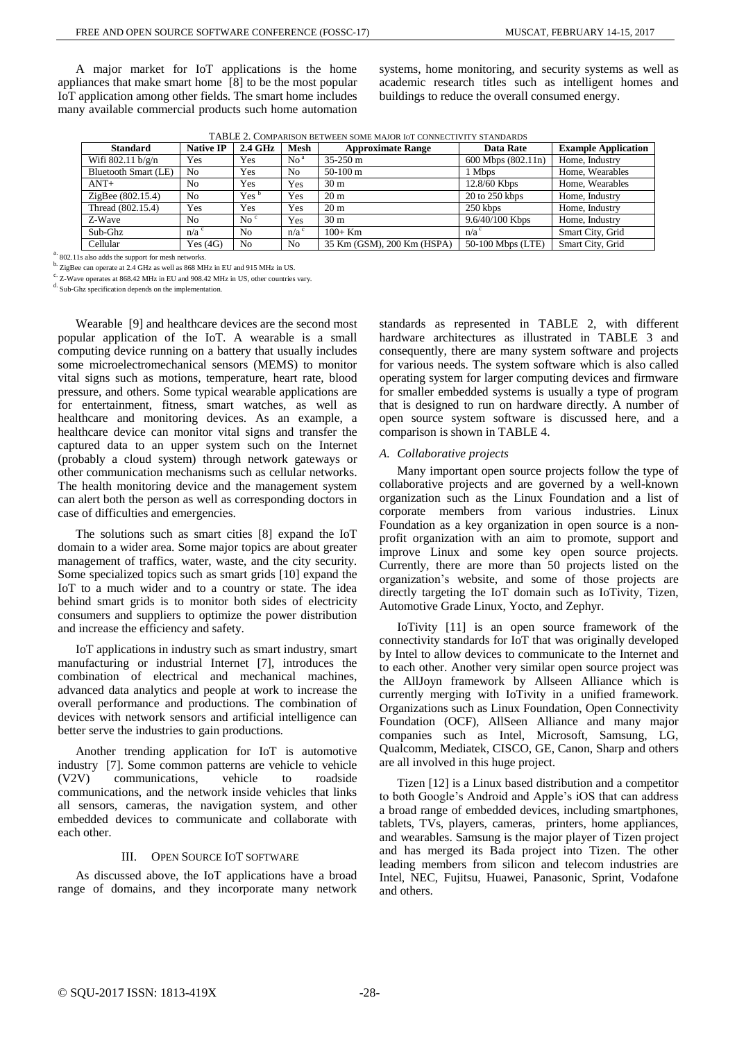A major market for IoT applications is the home appliances that make smart home [8] to be the most popular IoT application among other fields. The smart home includes many available commercial products such home automation

systems, home monitoring, and security systems as well as academic research titles such as intelligent homes and buildings to reduce the overall consumed energy.

TABLE 2. COMPARISON BETWEEN SOME MAJOR IOT CONNECTIVITY STANDARDS

<span id="page-1-0"></span>

| <b>Standard</b>             | <b>Native IP</b>   | 2.4 GHz             | <b>Mesh</b>                | <b>Approximate Range</b>   | Data Rate          | <b>Example Application</b> |
|-----------------------------|--------------------|---------------------|----------------------------|----------------------------|--------------------|----------------------------|
| Wifi $802.11 \frac{b}{g/n}$ | Yes                | Yes                 | $\mathrm{No}^{\mathrm{a}}$ | $35-250$ m                 | 600 Mbps (802.11n) | Home, Industry             |
| <b>Bluetooth Smart (LE)</b> | N <sub>0</sub>     | Yes                 | No                         | $50-100$ m                 | 1 Mbps             | Home, Wearables            |
| $ANT+$                      | N <sub>0</sub>     | Yes                 | Yes                        | 30 <sub>m</sub>            | 12.8/60 Kbps       | Home, Wearables            |
| ZigBee (802.15.4)           | N <sub>0</sub>     | Yes <sup>b</sup>    | Yes                        | $20 \text{ m}$             | 20 to 250 kbps     | Home, Industry             |
| Thread (802.15.4)           | Yes                | Yes                 | Yes                        | $20 \text{ m}$             | 250 kbps           | Home, Industry             |
| Z-Wave                      | N <sub>0</sub>     | $\mathrm{No}^{\,c}$ | Yes                        | 30 <sub>m</sub>            | $9.6/40/100$ Kbps  | Home, Industry             |
| Sub-Ghz                     | $n/a$ <sup>c</sup> | N <sub>0</sub>      | $n/a^c$                    | $100+$ Km                  | n/a <sup>c</sup>   | Smart City, Grid           |
| Cellular                    | Yes(4G)            | No                  | No.                        | 35 Km (GSM), 200 Km (HSPA) | 50-100 Mbps (LTE)  | Smart City, Grid           |

a. 802.11s also adds the support for mesh networks.

b. ZigBee can operate at 2.4 GHz as well as 868 MHz in EU and 915 MHz in US.

 $\sim$  Z-Wave operates at 868.42 MHz in EU and 908.42 MHz in US, other countries vary.

Sub-Ghz specification depends on the implementation.

Wearable [9] and healthcare devices are the second most popular application of the IoT. A wearable is a small computing device running on a battery that usually includes some microelectromechanical sensors (MEMS) to monitor vital signs such as motions, temperature, heart rate, blood pressure, and others. Some typical wearable applications are for entertainment, fitness, smart watches, as well as healthcare and monitoring devices. As an example, a healthcare device can monitor vital signs and transfer the captured data to an upper system such on the Internet (probably a cloud system) through network gateways or other communication mechanisms such as cellular networks. The health monitoring device and the management system can alert both the person as well as corresponding doctors in case of difficulties and emergencies.

The solutions such as smart cities [8] expand the IoT domain to a wider area. Some major topics are about greater management of traffics, water, waste, and the city security. Some specialized topics such as smart grids [10] expand the IoT to a much wider and to a country or state. The idea behind smart grids is to monitor both sides of electricity consumers and suppliers to optimize the power distribution and increase the efficiency and safety.

IoT applications in industry such as smart industry, smart manufacturing or industrial Internet [7], introduces the combination of electrical and mechanical machines, advanced data analytics and people at work to increase the overall performance and productions. The combination of devices with network sensors and artificial intelligence can better serve the industries to gain productions.

Another trending application for IoT is automotive industry [7]. Some common patterns are vehicle to vehicle (V2V) communications, vehicle to roadside communications, and the network inside vehicles that links all sensors, cameras, the navigation system, and other embedded devices to communicate and collaborate with each other.

# III. OPEN SOURCE IOT SOFTWARE

As discussed above, the IoT applications have a broad range of domains, and they incorporate many network

standards as represented in [TABLE 2,](#page-1-0) with different hardware architectures as illustrated in [TABLE 3](#page-2-0) and consequently, there are many system software and projects for various needs. The system software which is also called operating system for larger computing devices and firmware for smaller embedded systems is usually a type of program that is designed to run on hardware directly. A number of open source system software is discussed here, and a comparison is shown in [TABLE](#page-3-0) 4.

# *A. Collaborative projects*

Many important open source projects follow the type of collaborative projects and are governed by a well-known organization such as the Linux Foundation and a list of corporate members from various industries. Linux Foundation as a key organization in open source is a nonprofit organization with an aim to promote, support and improve Linux and some key open source projects. Currently, there are more than 50 projects listed on the organization's website, and some of those projects are directly targeting the IoT domain such as IoTivity, Tizen, Automotive Grade Linux, Yocto, and Zephyr.

IoTivity [11] is an open source framework of the connectivity standards for IoT that was originally developed by Intel to allow devices to communicate to the Internet and to each other. Another very similar open source project was the AllJoyn framework by Allseen Alliance which is currently merging with IoTivity in a unified framework. Organizations such as Linux Foundation, Open Connectivity Foundation (OCF), AllSeen Alliance and many major companies such as Intel, Microsoft, Samsung, LG, Qualcomm, Mediatek, CISCO, GE, Canon, Sharp and others are all involved in this huge project.

Tizen [12] is a Linux based distribution and a competitor to both Google's Android and Apple's iOS that can address a broad range of embedded devices, including smartphones, tablets, TVs, players, cameras, printers, home appliances, and wearables. Samsung is the major player of Tizen project and has merged its Bada project into Tizen. The other leading members from silicon and telecom industries are Intel, NEC, Fujitsu, Huawei, Panasonic, Sprint, Vodafone and others.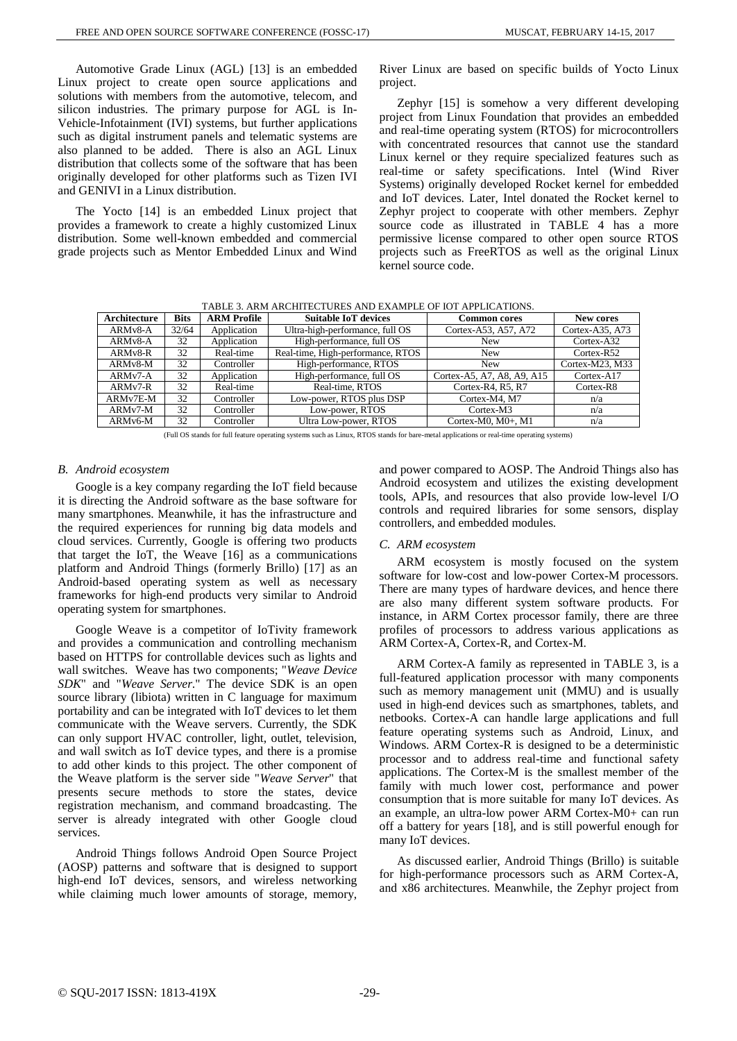Automotive Grade Linux (AGL) [13] is an embedded Linux project to create open source applications and solutions with members from the automotive, telecom, and silicon industries. The primary purpose for AGL is In-Vehicle-Infotainment (IVI) systems, but further applications such as digital instrument panels and telematic systems are also planned to be added. There is also an AGL Linux distribution that collects some of the software that has been originally developed for other platforms such as Tizen IVI and GENIVI in a Linux distribution.

The Yocto [14] is an embedded Linux project that provides a framework to create a highly customized Linux distribution. Some well-known embedded and commercial grade projects such as Mentor Embedded Linux and Wind River Linux are based on specific builds of Yocto Linux project.

Zephyr [15] is somehow a very different developing project from Linux Foundation that provides an embedded and real-time operating system (RTOS) for microcontrollers with concentrated resources that cannot use the standard Linux kernel or they require specialized features such as real-time or safety specifications. Intel (Wind River Systems) originally developed Rocket kernel for embedded and IoT devices. Later, Intel donated the Rocket kernel to Zephyr project to cooperate with other members. Zephyr source code as illustrated in [TABLE](#page-3-0) 4 has a more permissive license compared to other open source RTOS projects such as FreeRTOS as well as the original Linux kernel source code.

<span id="page-2-0"></span>

| Architecture         | <b>Bits</b> | <b>ARM Profile</b> | <b>Suitable IoT devices</b>       | Common cores               | New cores         |
|----------------------|-------------|--------------------|-----------------------------------|----------------------------|-------------------|
| ARM <sub>v</sub> 8-A | 32/64       | Application        | Ultra-high-performance, full OS   | Cortex-A53, A57, A72       | Cortex-A35, $A73$ |
| ARM <sub>v</sub> 8-A | 32          | Application        | High-performance, full OS         | <b>New</b>                 | Cortex-A32        |
| ARM <sub>v</sub> 8-R | 32          | Real-time          | Real-time, High-performance, RTOS | New                        | Cortex-R52        |
| ARMv8-M              | 32          | Controller         | High-performance, RTOS            | New                        | Cortex-M23, M33   |
| ARM <sub>v</sub> 7-A | 32          | Application        | High-performance, full OS         | Cortex-A5, A7, A8, A9, A15 | Cortex-A17        |
| $ARMv7-R$            | 32          | Real-time          | Real-time, RTOS                   | Cortex-R4, R5, R7          | Cortex-R8         |
| $ARMv7E-M$           | 32          | Controller         | Low-power, RTOS plus DSP          | Cortex-M4, M7              | n/a               |
| $ARMv7-M$            | 32          | Controller         | Low-power, RTOS                   | Cortex-M3                  | n/a               |
| ARM <sub>v</sub> 6-M | 32          | Controller         | Ultra Low-power, RTOS             | Cortex-M0, $M0+$ , M1      | n/a               |

TABLE 3. ARM ARCHITECTURES AND EXAMPLE OF IOT APPLICATIONS.

(Full OS stands for full feature operating systems such as Linux, RTOS stands for bare-metal applications or real-time operating systems)

# *B. Android ecosystem*

Google is a key company regarding the IoT field because it is directing the Android software as the base software for many smartphones. Meanwhile, it has the infrastructure and the required experiences for running big data models and cloud services. Currently, Google is offering two products that target the IoT, the Weave [16] as a communications platform and Android Things (formerly Brillo) [17] as an Android-based operating system as well as necessary frameworks for high-end products very similar to Android operating system for smartphones.

Google Weave is a competitor of IoTivity framework and provides a communication and controlling mechanism based on HTTPS for controllable devices such as lights and wall switches. Weave has two components; "*Weave Device SDK*" and "*Weave Server*." The device SDK is an open source library (libiota) written in C language for maximum portability and can be integrated with IoT devices to let them communicate with the Weave servers. Currently, the SDK can only support HVAC controller, light, outlet, television, and wall switch as IoT device types, and there is a promise to add other kinds to this project. The other component of the Weave platform is the server side "*Weave Server*" that presents secure methods to store the states, device registration mechanism, and command broadcasting. The server is already integrated with other Google cloud services.

Android Things follows Android Open Source Project (AOSP) patterns and software that is designed to support high-end IoT devices, sensors, and wireless networking while claiming much lower amounts of storage, memory, and power compared to AOSP. The Android Things also has Android ecosystem and utilizes the existing development tools, APIs, and resources that also provide low-level I/O controls and required libraries for some sensors, display controllers, and embedded modules.

#### *C. ARM ecosystem*

ARM ecosystem is mostly focused on the system software for low-cost and low-power Cortex-M processors. There are many types of hardware devices, and hence there are also many different system software products. For instance, in ARM Cortex processor family, there are three profiles of processors to address various applications as ARM Cortex-A, Cortex-R, and Cortex-M.

ARM Cortex-A family as represented in [TABLE](#page-2-0) 3, is a full-featured application processor with many components such as memory management unit (MMU) and is usually used in high-end devices such as smartphones, tablets, and netbooks. Cortex-A can handle large applications and full feature operating systems such as Android, Linux, and Windows. ARM Cortex-R is designed to be a deterministic processor and to address real-time and functional safety applications. The Cortex-M is the smallest member of the family with much lower cost, performance and power consumption that is more suitable for many IoT devices. As an example, an ultra-low power ARM Cortex-M0+ can run off a battery for years [18], and is still powerful enough for many IoT devices.

As discussed earlier, Android Things (Brillo) is suitable for high-performance processors such as ARM Cortex-A, and x86 architectures. Meanwhile, the Zephyr project from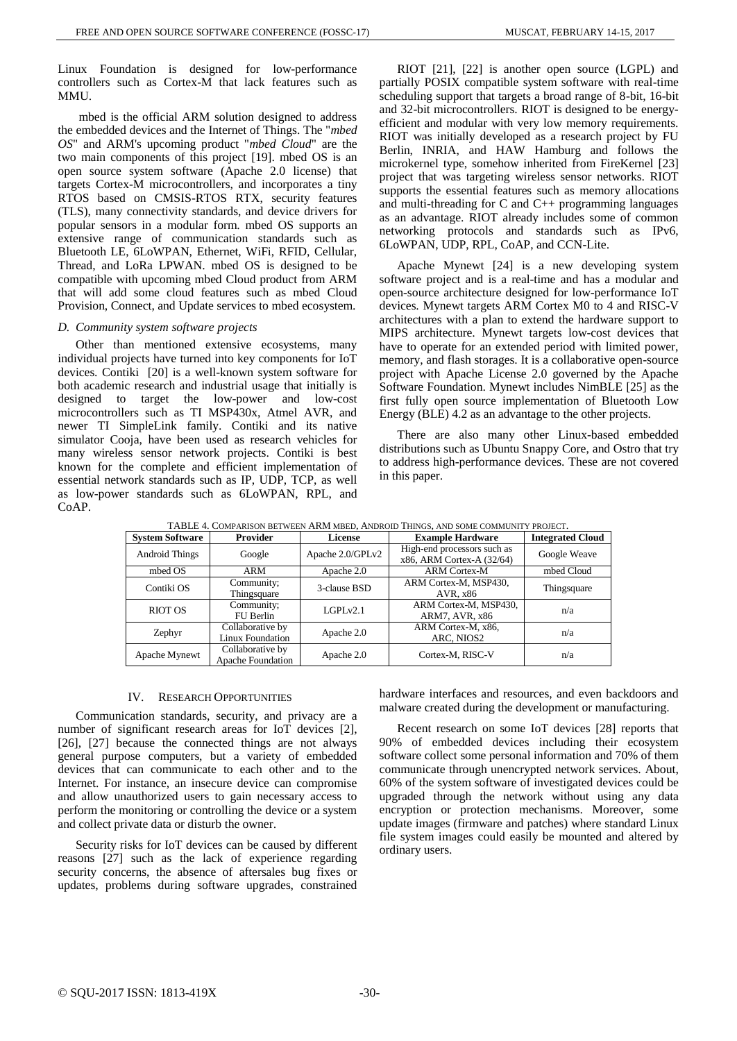Linux Foundation is designed for low-performance controllers such as Cortex-M that lack features such as **MMU** 

mbed is the official ARM solution designed to address the embedded devices and the Internet of Things. The "*mbed OS*" and ARM's upcoming product "*mbed Cloud*" are the two main components of this project [19]. mbed OS is an open source system software (Apache 2.0 license) that targets Cortex-M microcontrollers, and incorporates a tiny RTOS based on CMSIS-RTOS RTX, security features (TLS), many connectivity standards, and device drivers for popular sensors in a modular form. mbed OS supports an extensive range of communication standards such as Bluetooth LE, 6LoWPAN, Ethernet, WiFi, RFID, Cellular, Thread, and LoRa LPWAN. mbed OS is designed to be compatible with upcoming mbed Cloud product from ARM that will add some cloud features such as mbed Cloud Provision, Connect, and Update services to mbed ecosystem.

# *D. Community system software projects*

Other than mentioned extensive ecosystems, many individual projects have turned into key components for IoT devices. Contiki [20] is a well-known system software for both academic research and industrial usage that initially is designed to target the low-power and low-cost microcontrollers such as TI MSP430x, Atmel AVR, and newer TI SimpleLink family. Contiki and its native simulator Cooja, have been used as research vehicles for many wireless sensor network projects. Contiki is best known for the complete and efficient implementation of essential network standards such as IP, UDP, TCP, as well as low-power standards such as 6LoWPAN, RPL, and CoAP.

RIOT [21], [22] is another open source (LGPL) and partially POSIX compatible system software with real-time scheduling support that targets a broad range of 8-bit, 16-bit and 32-bit microcontrollers. RIOT is designed to be energyefficient and modular with very low memory requirements. RIOT was initially developed as a research project by FU Berlin, INRIA, and HAW Hamburg and follows the microkernel type, somehow inherited from FireKernel [23] project that was targeting wireless sensor networks. RIOT supports the essential features such as memory allocations and multi-threading for C and C++ programming languages as an advantage. RIOT already includes some of common networking protocols and standards such as IPv6, 6LoWPAN, UDP, RPL, CoAP, and CCN-Lite.

Apache Mynewt [24] is a new developing system software project and is a real-time and has a modular and open-source architecture designed for low-performance IoT devices. Mynewt targets ARM Cortex M0 to 4 and RISC-V architectures with a plan to extend the hardware support to MIPS architecture. Mynewt targets low-cost devices that have to operate for an extended period with limited power, memory, and flash storages. It is a collaborative open-source project with Apache License 2.0 governed by the Apache Software Foundation. Mynewt includes NimBLE [25] as the first fully open source implementation of Bluetooth Low Energy (BLE) 4.2 as an advantage to the other projects.

There are also many other Linux-based embedded distributions such as Ubuntu Snappy Core, and Ostro that try to address high-performance devices. These are not covered in this paper.

<span id="page-3-0"></span>

| <b>System Software</b> | <b>Provider</b>                              | <b>License</b>   | <b>Example Hardware</b>                                  | <b>Integrated Cloud</b> |
|------------------------|----------------------------------------------|------------------|----------------------------------------------------------|-------------------------|
| Android Things         | Google                                       | Apache 2.0/GPLv2 | High-end processors such as<br>x86, ARM Cortex-A (32/64) | Google Weave            |
| mbed OS                | ARM                                          | Apache 2.0       | <b>ARM Cortex-M</b>                                      | mbed Cloud              |
| Contiki OS             | Community;<br>Thingsquare                    | 3-clause BSD     | ARM Cortex-M, MSP430,<br>AVR. x86                        | Thingsquare             |
| <b>RIOT OS</b>         | Community;<br>FU Berlin                      | LGPLv2.1         | ARM Cortex-M, MSP430,<br><b>ARM7, AVR, x86</b>           | n/a                     |
| Zephyr                 | Collaborative by<br>Linux Foundation         | Apache 2.0       | ARM Cortex-M, x86,<br>ARC, NIOS2                         | n/a                     |
| Apache Mynewt          | Collaborative by<br><b>Apache Foundation</b> | Apache 2.0       | Cortex-M, RISC-V                                         | n/a                     |

TABLE 4. COMPARISON BETWEEN ARM MBED, ANDROID THINGS, AND SOME COMMUNITY PROJECT.

# IV. RESEARCH OPPORTUNITIES

Communication standards, security, and privacy are a number of significant research areas for IoT devices [2], [26], [27] because the connected things are not always general purpose computers, but a variety of embedded devices that can communicate to each other and to the Internet. For instance, an insecure device can compromise and allow unauthorized users to gain necessary access to perform the monitoring or controlling the device or a system and collect private data or disturb the owner.

Security risks for IoT devices can be caused by different reasons [27] such as the lack of experience regarding security concerns, the absence of aftersales bug fixes or updates, problems during software upgrades, constrained hardware interfaces and resources, and even backdoors and malware created during the development or manufacturing.

Recent research on some IoT devices [28] reports that 90% of embedded devices including their ecosystem software collect some personal information and 70% of them communicate through unencrypted network services. About, 60% of the system software of investigated devices could be upgraded through the network without using any data encryption or protection mechanisms. Moreover, some update images (firmware and patches) where standard Linux file system images could easily be mounted and altered by ordinary users.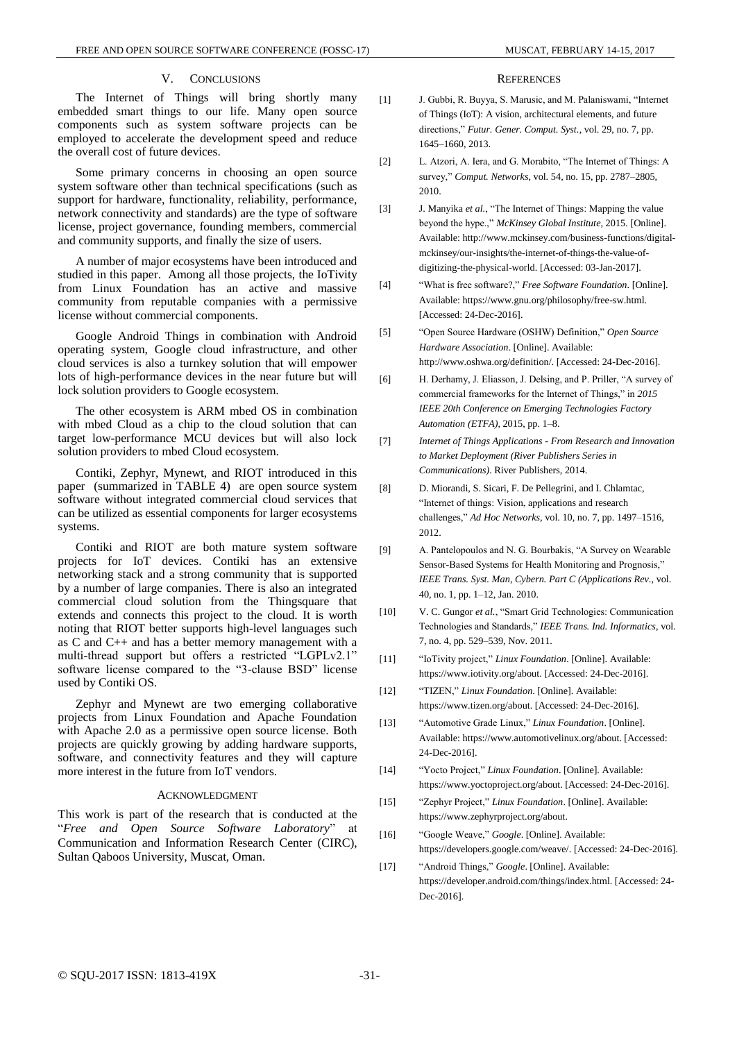The Internet of Things will bring shortly many embedded smart things to our life. Many open source components such as system software projects can be employed to accelerate the development speed and reduce the overall cost of future devices.

Some primary concerns in choosing an open source system software other than technical specifications (such as support for hardware, functionality, reliability, performance, network connectivity and standards) are the type of software license, project governance, founding members, commercial and community supports, and finally the size of users.

A number of major ecosystems have been introduced and studied in this paper. Among all those projects, the IoTivity from Linux Foundation has an active and massive community from reputable companies with a permissive license without commercial components.

Google Android Things in combination with Android operating system, Google cloud infrastructure, and other cloud services is also a turnkey solution that will empower lots of high-performance devices in the near future but will lock solution providers to Google ecosystem.

The other ecosystem is ARM mbed OS in combination with mbed Cloud as a chip to the cloud solution that can target low-performance MCU devices but will also lock solution providers to mbed Cloud ecosystem.

Contiki, Zephyr, Mynewt, and RIOT introduced in this paper (summarized in [TABLE](#page-3-0) 4) are open source system software without integrated commercial cloud services that can be utilized as essential components for larger ecosystems systems.

Contiki and RIOT are both mature system software projects for IoT devices. Contiki has an extensive networking stack and a strong community that is supported by a number of large companies. There is also an integrated commercial cloud solution from the Thingsquare that extends and connects this project to the cloud. It is worth noting that RIOT better supports high-level languages such as C and C++ and has a better memory management with a multi-thread support but offers a restricted "LGPLv2.1" software license compared to the "3-clause BSD" license used by Contiki OS.

Zephyr and Mynewt are two emerging collaborative projects from Linux Foundation and Apache Foundation with Apache 2.0 as a permissive open source license. Both projects are quickly growing by adding hardware supports, software, and connectivity features and they will capture more interest in the future from IoT vendors.

# ACKNOWLEDGMENT

This work is part of the research that is conducted at the "*Free and Open Source Software Laboratory*" at Communication and Information Research Center (CIRC), Sultan Qaboos University, Muscat, Oman.

#### **REFERENCES**

- [1] J. Gubbi, R. Buyya, S. Marusic, and M. Palaniswami, "Internet of Things (IoT): A vision, architectural elements, and future directions," *Futur. Gener. Comput. Syst.*, vol. 29, no. 7, pp. 1645–1660, 2013.
- [2] L. Atzori, A. Iera, and G. Morabito, "The Internet of Things: A survey," *Comput. Networks*, vol. 54, no. 15, pp. 2787–2805, 2010.
- [3] J. Manyika *et al.*, "The Internet of Things: Mapping the value beyond the hype.," *McKinsey Global Institute*, 2015. [Online]. Available: http://www.mckinsey.com/business-functions/digitalmckinsey/our-insights/the-internet-of-things-the-value-ofdigitizing-the-physical-world. [Accessed: 03-Jan-2017].
- [4] "What is free software?," *Free Software Foundation*. [Online]. Available: https://www.gnu.org/philosophy/free-sw.html. [Accessed: 24-Dec-2016].
- [5] "Open Source Hardware (OSHW) Definition," *Open Source Hardware Association*. [Online]. Available: http://www.oshwa.org/definition/. [Accessed: 24-Dec-2016].
- [6] H. Derhamy, J. Eliasson, J. Delsing, and P. Priller, "A survey of commercial frameworks for the Internet of Things," in *2015 IEEE 20th Conference on Emerging Technologies Factory Automation (ETFA)*, 2015, pp. 1–8.
- [7] *Internet of Things Applications - From Research and Innovation to Market Deployment (River Publishers Series in Communications)*. River Publishers, 2014.
- [8] D. Miorandi, S. Sicari, F. De Pellegrini, and I. Chlamtac, "Internet of things: Vision, applications and research challenges," *Ad Hoc Networks*, vol. 10, no. 7, pp. 1497–1516, 2012.
- [9] A. Pantelopoulos and N. G. Bourbakis, "A Survey on Wearable Sensor-Based Systems for Health Monitoring and Prognosis," *IEEE Trans. Syst. Man, Cybern. Part C (Applications Rev.*, vol. 40, no. 1, pp. 1–12, Jan. 2010.
- [10] V. C. Gungor *et al.*, "Smart Grid Technologies: Communication Technologies and Standards," *IEEE Trans. Ind. Informatics*, vol. 7, no. 4, pp. 529–539, Nov. 2011.
- [11] "IoTivity project," *Linux Foundation*. [Online]. Available: https://www.iotivity.org/about. [Accessed: 24-Dec-2016].
- [12] "TIZEN," *Linux Foundation*. [Online]. Available: https://www.tizen.org/about. [Accessed: 24-Dec-2016].
- [13] "Automotive Grade Linux," *Linux Foundation*. [Online]. Available: https://www.automotivelinux.org/about. [Accessed: 24-Dec-2016].
- [14] "Yocto Project," *Linux Foundation*. [Online]. Available: https://www.yoctoproject.org/about. [Accessed: 24-Dec-2016].
- [15] "Zephyr Project," *Linux Foundation*. [Online]. Available: https://www.zephyrproject.org/about.
- [16] "Google Weave," *Google*. [Online]. Available: https://developers.google.com/weave/. [Accessed: 24-Dec-2016].
- [17] "Android Things," *Google*. [Online]. Available: https://developer.android.com/things/index.html. [Accessed: 24- Dec-2016].